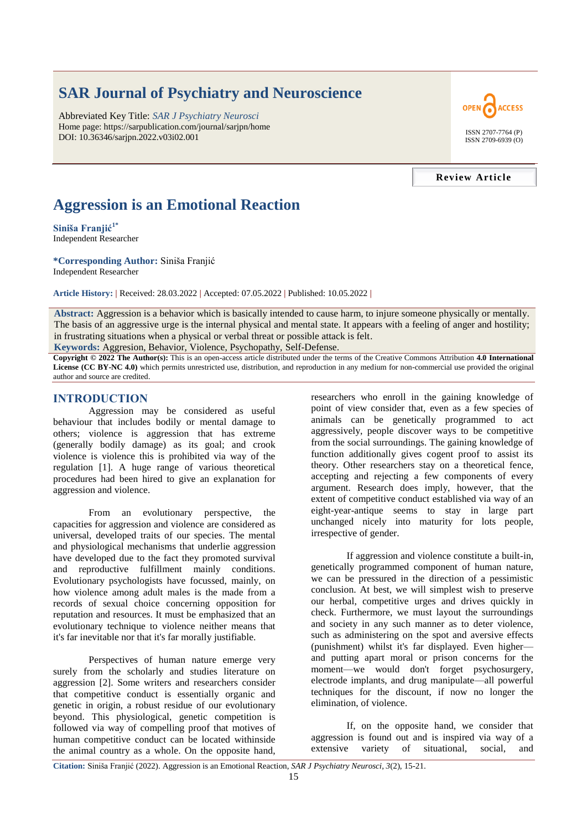# **SAR Journal of Psychiatry and Neuroscience**

Abbreviated Key Title: *SAR J Psychiatry Neurosci* Home page: https://sarpublication.com/journal/sarjpn/home DOI: 10.36346/sarjpn.2022.v03i02.001



ISSN 2707-7764 (P) ISSN 2709-6939 (O)

#### **Review Article**

## **Aggression is an Emotional Reaction**

**Siniša Franjić1\*** Independent Researcher

**\*Corresponding Author:** Siniša Franjić

Independent Researcher

**Article History: |** Received: 28.03.2022 **|** Accepted: 07.05.2022 **|** Published: 10.05.2022 **|**

**Abstract:** Aggression is a behavior which is basically intended to cause harm, to injure someone physically or mentally. The basis of an aggressive urge is the internal physical and mental state. It appears with a feeling of anger and hostility; in frustrating situations when a physical or verbal threat or possible attack is felt.

**Keywords:** Aggresion, Behavior, Violence, Psychopathy, Self-Defense.

**Copyright © 2022 The Author(s):** This is an open-access article distributed under the terms of the Creative Commons Attribution **4.0 International License (CC BY-NC 4.0)** which permits unrestricted use, distribution, and reproduction in any medium for non-commercial use provided the original author and source are credited.

## **INTRODUCTION**

Aggression may be considered as useful behaviour that includes bodily or mental damage to others; violence is aggression that has extreme (generally bodily damage) as its goal; and crook violence is violence this is prohibited via way of the regulation [1]. A huge range of various theoretical procedures had been hired to give an explanation for aggression and violence.

From an evolutionary perspective, the capacities for aggression and violence are considered as universal, developed traits of our species. The mental and physiological mechanisms that underlie aggression have developed due to the fact they promoted survival and reproductive fulfillment mainly conditions. Evolutionary psychologists have focussed, mainly, on how violence among adult males is the made from a records of sexual choice concerning opposition for reputation and resources. It must be emphasized that an evolutionary technique to violence neither means that it's far inevitable nor that it's far morally justifiable.

Perspectives of human nature emerge very surely from the scholarly and studies literature on aggression [2]. Some writers and researchers consider that competitive conduct is essentially organic and genetic in origin, a robust residue of our evolutionary beyond. This physiological, genetic competition is followed via way of compelling proof that motives of human competitive conduct can be located withinside the animal country as a whole. On the opposite hand,

researchers who enroll in the gaining knowledge of point of view consider that, even as a few species of animals can be genetically programmed to act aggressively, people discover ways to be competitive from the social surroundings. The gaining knowledge of function additionally gives cogent proof to assist its theory. Other researchers stay on a theoretical fence, accepting and rejecting a few components of every argument. Research does imply, however, that the extent of competitive conduct established via way of an eight-year-antique seems to stay in large part unchanged nicely into maturity for lots people, irrespective of gender.

If aggression and violence constitute a built-in, genetically programmed component of human nature, we can be pressured in the direction of a pessimistic conclusion. At best, we will simplest wish to preserve our herbal, competitive urges and drives quickly in check. Furthermore, we must layout the surroundings and society in any such manner as to deter violence, such as administering on the spot and aversive effects (punishment) whilst it's far displayed. Even higher and putting apart moral or prison concerns for the moment—we would don't forget psychosurgery, electrode implants, and drug manipulate—all powerful techniques for the discount, if now no longer the elimination, of violence.

If, on the opposite hand, we consider that aggression is found out and is inspired via way of a extensive variety of situational, social, and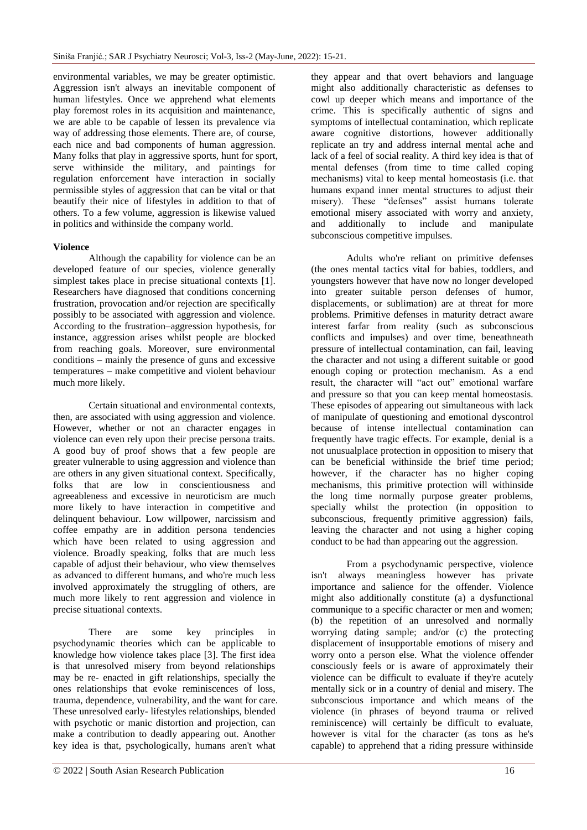environmental variables, we may be greater optimistic. Aggression isn't always an inevitable component of human lifestyles. Once we apprehend what elements play foremost roles in its acquisition and maintenance, we are able to be capable of lessen its prevalence via way of addressing those elements. There are, of course, each nice and bad components of human aggression. Many folks that play in aggressive sports, hunt for sport, serve withinside the military, and paintings for regulation enforcement have interaction in socially permissible styles of aggression that can be vital or that beautify their nice of lifestyles in addition to that of others. To a few volume, aggression is likewise valued in politics and withinside the company world.

#### **Violence**

Although the capability for violence can be an developed feature of our species, violence generally simplest takes place in precise situational contexts [1]. Researchers have diagnosed that conditions concerning frustration, provocation and/or rejection are specifically possibly to be associated with aggression and violence. According to the frustration–aggression hypothesis, for instance, aggression arises whilst people are blocked from reaching goals. Moreover, sure environmental conditions – mainly the presence of guns and excessive temperatures – make competitive and violent behaviour much more likely.

Certain situational and environmental contexts, then, are associated with using aggression and violence. However, whether or not an character engages in violence can even rely upon their precise persona traits. A good buy of proof shows that a few people are greater vulnerable to using aggression and violence than are others in any given situational context. Specifically, folks that are low in conscientiousness and agreeableness and excessive in neuroticism are much more likely to have interaction in competitive and delinquent behaviour. Low willpower, narcissism and coffee empathy are in addition persona tendencies which have been related to using aggression and violence. Broadly speaking, folks that are much less capable of adjust their behaviour, who view themselves as advanced to different humans, and who're much less involved approximately the struggling of others, are much more likely to rent aggression and violence in precise situational contexts.

There are some key principles in psychodynamic theories which can be applicable to knowledge how violence takes place [3]. The first idea is that unresolved misery from beyond relationships may be re- enacted in gift relationships, specially the ones relationships that evoke reminiscences of loss, trauma, dependence, vulnerability, and the want for care. These unresolved early- lifestyles relationships, blended with psychotic or manic distortion and projection, can make a contribution to deadly appearing out. Another key idea is that, psychologically, humans aren't what

might also additionally characteristic as defenses to cowl up deeper which means and importance of the crime. This is specifically authentic of signs and symptoms of intellectual contamination, which replicate aware cognitive distortions, however additionally replicate an try and address internal mental ache and lack of a feel of social reality. A third key idea is that of mental defenses (from time to time called coping mechanisms) vital to keep mental homeostasis (i.e. that humans expand inner mental structures to adjust their misery). These "defenses" assist humans tolerate emotional misery associated with worry and anxiety, and additionally to include and manipulate subconscious competitive impulses.

they appear and that overt behaviors and language

Adults who're reliant on primitive defenses (the ones mental tactics vital for babies, toddlers, and youngsters however that have now no longer developed into greater suitable person defenses of humor, displacements, or sublimation) are at threat for more problems. Primitive defenses in maturity detract aware interest farfar from reality (such as subconscious conflicts and impulses) and over time, beneathneath pressure of intellectual contamination, can fail, leaving the character and not using a different suitable or good enough coping or protection mechanism. As a end result, the character will "act out" emotional warfare and pressure so that you can keep mental homeostasis. These episodes of appearing out simultaneous with lack of manipulate of questioning and emotional dyscontrol because of intense intellectual contamination can frequently have tragic effects. For example, denial is a not unusualplace protection in opposition to misery that can be beneficial withinside the brief time period; however, if the character has no higher coping mechanisms, this primitive protection will withinside the long time normally purpose greater problems, specially whilst the protection (in opposition to subconscious, frequently primitive aggression) fails, leaving the character and not using a higher coping conduct to be had than appearing out the aggression.

From a psychodynamic perspective, violence isn't always meaningless however has private importance and salience for the offender. Violence might also additionally constitute (a) a dysfunctional communique to a specific character or men and women; (b) the repetition of an unresolved and normally worrying dating sample; and/or (c) the protecting displacement of insupportable emotions of misery and worry onto a person else. What the violence offender consciously feels or is aware of approximately their violence can be difficult to evaluate if they're acutely mentally sick or in a country of denial and misery. The subconscious importance and which means of the violence (in phrases of beyond trauma or relived reminiscence) will certainly be difficult to evaluate, however is vital for the character (as tons as he's capable) to apprehend that a riding pressure withinside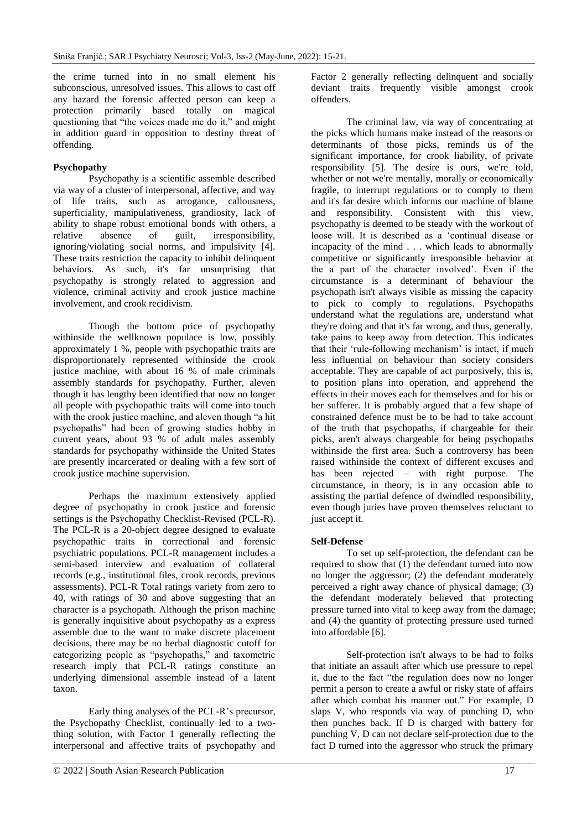the crime turned into in no small element his subconscious, unresolved issues. This allows to cast off any hazard the forensic affected person can keep a protection primarily based totally on magical questioning that "the voices made me do it," and might in addition guard in opposition to destiny threat of offending.

## **Psychopathy**

Psychopathy is a scientific assemble described via way of a cluster of interpersonal, affective, and way of life traits, such as arrogance, callousness, superficiality, manipulativeness, grandiosity, lack of ability to shape robust emotional bonds with others, a relative absence of guilt, irresponsibility, absence of guilt, irresponsibility, ignoring/violating social norms, and impulsivity [4]. These traits restriction the capacity to inhibit delinquent behaviors. As such, it's far unsurprising that psychopathy is strongly related to aggression and violence, criminal activity and crook justice machine involvement, and crook recidivism.

Though the bottom price of psychopathy withinside the wellknown populace is low, possibly approximately 1 %, people with psychopathic traits are disproportionately represented withinside the crook justice machine, with about 16 % of male criminals assembly standards for psychopathy. Further, aleven though it has lengthy been identified that now no longer all people with psychopathic traits will come into touch with the crook justice machine, and aleven though "a hit psychopaths‖ had been of growing studies hobby in current years, about 93 % of adult males assembly standards for psychopathy withinside the United States are presently incarcerated or dealing with a few sort of crook justice machine supervision.

Perhaps the maximum extensively applied degree of psychopathy in crook justice and forensic settings is the Psychopathy Checklist-Revised (PCL-R). The PCL-R is a 20-object degree designed to evaluate psychopathic traits in correctional and forensic psychiatric populations. PCL-R management includes a semi-based interview and evaluation of collateral records (e.g., institutional files, crook records, previous assessments). PCL-R Total ratings variety from zero to 40, with ratings of 30 and above suggesting that an character is a psychopath. Although the prison machine is generally inquisitive about psychopathy as a express assemble due to the want to make discrete placement decisions, there may be no herbal diagnostic cutoff for categorizing people as "psychopaths," and taxometric research imply that PCL-R ratings constitute an underlying dimensional assemble instead of a latent taxon.

Early thing analyses of the PCL-R's precursor, the Psychopathy Checklist, continually led to a twothing solution, with Factor 1 generally reflecting the interpersonal and affective traits of psychopathy and

Factor 2 generally reflecting delinquent and socially deviant traits frequently visible amongst crook offenders.

The criminal law, via way of concentrating at the picks which humans make instead of the reasons or determinants of those picks, reminds us of the significant importance, for crook liability, of private responsibility [5]. The desire is ours, we're told, whether or not we're mentally, morally or economically fragile, to interrupt regulations or to comply to them and it's far desire which informs our machine of blame and responsibility. Consistent with this view, psychopathy is deemed to be steady with the workout of loose will. It is described as a 'continual disease or incapacity of the mind . . . which leads to abnormally competitive or significantly irresponsible behavior at the a part of the character involved'. Even if the circumstance is a determinant of behaviour the psychopath isn't always visible as missing the capacity to pick to comply to regulations. Psychopaths understand what the regulations are, understand what they're doing and that it's far wrong, and thus, generally, take pains to keep away from detection. This indicates that their 'rule-following mechanism' is intact, if much less influential on behaviour than society considers acceptable. They are capable of act purposively, this is, to position plans into operation, and apprehend the effects in their moves each for themselves and for his or her sufferer. It is probably argued that a few shape of constrained defence must be to be had to take account of the truth that psychopaths, if chargeable for their picks, aren't always chargeable for being psychopaths withinside the first area. Such a controversy has been raised withinside the context of different excuses and has been rejected – with right purpose. The circumstance, in theory, is in any occasion able to assisting the partial defence of dwindled responsibility, even though juries have proven themselves reluctant to just accept it.

## **Self-Defense**

To set up self-protection, the defendant can be required to show that (1) the defendant turned into now no longer the aggressor; (2) the defendant moderately perceived a right away chance of physical damage; (3) the defendant moderately believed that protecting pressure turned into vital to keep away from the damage; and (4) the quantity of protecting pressure used turned into affordable [6].

Self-protection isn't always to be had to folks that initiate an assault after which use pressure to repel it, due to the fact "the regulation does now no longer permit a person to create a awful or risky state of affairs after which combat his manner out." For example, D slaps V, who responds via way of punching D, who then punches back. If D is charged with battery for punching V, D can not declare self-protection due to the fact D turned into the aggressor who struck the primary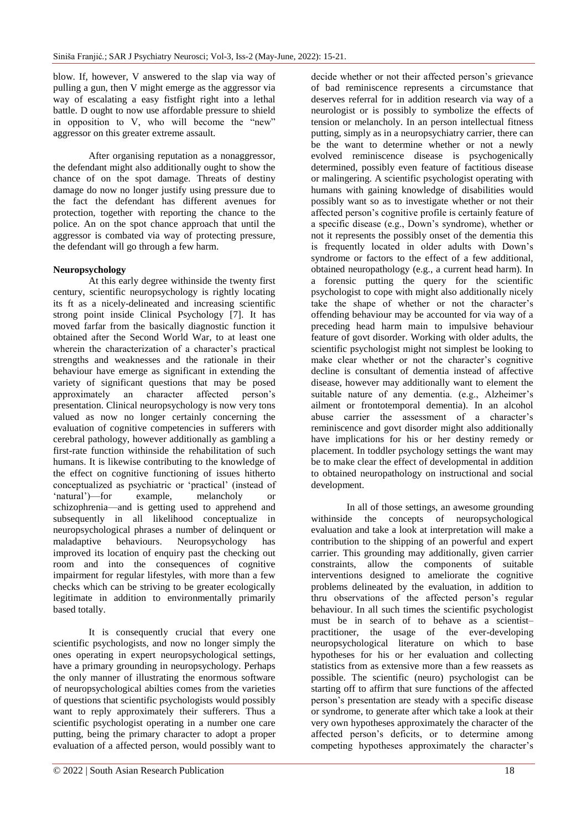blow. If, however, V answered to the slap via way of pulling a gun, then V might emerge as the aggressor via way of escalating a easy fistfight right into a lethal battle. D ought to now use affordable pressure to shield in opposition to V, who will become the "new" aggressor on this greater extreme assault.

After organising reputation as a nonaggressor, the defendant might also additionally ought to show the chance of on the spot damage. Threats of destiny damage do now no longer justify using pressure due to the fact the defendant has different avenues for protection, together with reporting the chance to the police. An on the spot chance approach that until the aggressor is combated via way of protecting pressure, the defendant will go through a few harm.

## **Neuropsychology**

At this early degree withinside the twenty first century, scientific neuropsychology is rightly locating its ft as a nicely-delineated and increasing scientific strong point inside Clinical Psychology [7]. It has moved farfar from the basically diagnostic function it obtained after the Second World War, to at least one wherein the characterization of a character's practical strengths and weaknesses and the rationale in their behaviour have emerge as significant in extending the variety of significant questions that may be posed approximately an character affected person's presentation. Clinical neuropsychology is now very tons valued as now no longer certainly concerning the evaluation of cognitive competencies in sufferers with cerebral pathology, however additionally as gambling a first-rate function withinside the rehabilitation of such humans. It is likewise contributing to the knowledge of the effect on cognitive functioning of issues hitherto conceptualized as psychiatric or 'practical' (instead of ‗natural')—for example, melancholy or schizophrenia—and is getting used to apprehend and subsequently in all likelihood conceptualize in neuropsychological phrases a number of delinquent or maladaptive behaviours. Neuropsychology has improved its location of enquiry past the checking out room and into the consequences of cognitive impairment for regular lifestyles, with more than a few checks which can be striving to be greater ecologically legitimate in addition to environmentally primarily based totally.

It is consequently crucial that every one scientific psychologists, and now no longer simply the ones operating in expert neuropsychological settings, have a primary grounding in neuropsychology. Perhaps the only manner of illustrating the enormous software of neuropsychological abilties comes from the varieties of questions that scientific psychologists would possibly want to reply approximately their sufferers. Thus a scientific psychologist operating in a number one care putting, being the primary character to adopt a proper evaluation of a affected person, would possibly want to

decide whether or not their affected person's grievance of bad reminiscence represents a circumstance that deserves referral for in addition research via way of a neurologist or is possibly to symbolize the effects of tension or melancholy. In an person intellectual fitness putting, simply as in a neuropsychiatry carrier, there can be the want to determine whether or not a newly evolved reminiscence disease is psychogenically determined, possibly even feature of factitious disease or malingering. A scientific psychologist operating with humans with gaining knowledge of disabilities would possibly want so as to investigate whether or not their affected person's cognitive profile is certainly feature of a specific disease (e.g., Down's syndrome), whether or not it represents the possibly onset of the dementia this is frequently located in older adults with Down's syndrome or factors to the effect of a few additional, obtained neuropathology (e.g., a current head harm). In a forensic putting the query for the scientific psychologist to cope with might also additionally nicely take the shape of whether or not the character's offending behaviour may be accounted for via way of a preceding head harm main to impulsive behaviour feature of govt disorder. Working with older adults, the scientific psychologist might not simplest be looking to make clear whether or not the character's cognitive decline is consultant of dementia instead of affective disease, however may additionally want to element the suitable nature of any dementia. (e.g., Alzheimer's ailment or frontotemporal dementia). In an alcohol abuse carrier the assessment of a character's reminiscence and govt disorder might also additionally have implications for his or her destiny remedy or placement. In toddler psychology settings the want may be to make clear the effect of developmental in addition to obtained neuropathology on instructional and social development.

In all of those settings, an awesome grounding withinside the concepts of neuropsychological evaluation and take a look at interpretation will make a contribution to the shipping of an powerful and expert carrier. This grounding may additionally, given carrier constraints, allow the components of suitable interventions designed to ameliorate the cognitive problems delineated by the evaluation, in addition to thru observations of the affected person's regular behaviour. In all such times the scientific psychologist must be in search of to behave as a scientist– practitioner, the usage of the ever-developing neuropsychological literature on which to base hypotheses for his or her evaluation and collecting statistics from as extensive more than a few reassets as possible. The scientific (neuro) psychologist can be starting off to affirm that sure functions of the affected person's presentation are steady with a specific disease or syndrome, to generate after which take a look at their very own hypotheses approximately the character of the affected person's deficits, or to determine among competing hypotheses approximately the character's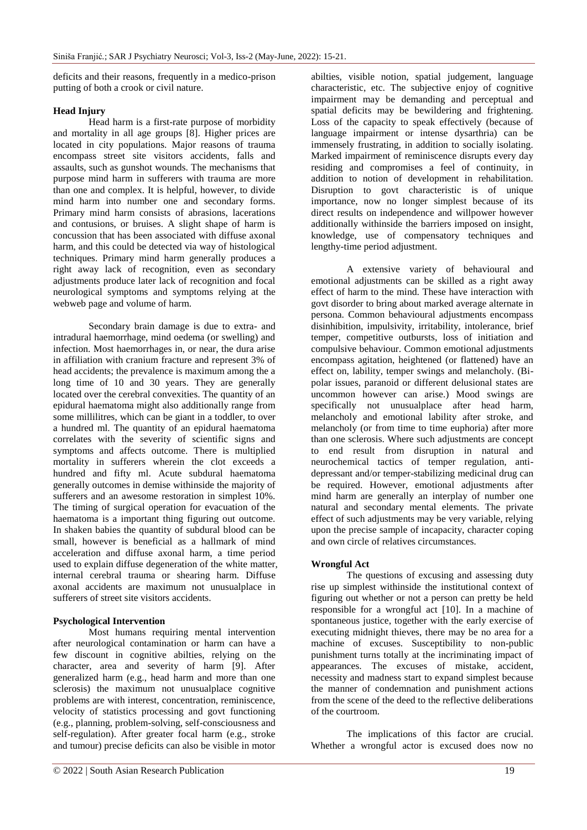deficits and their reasons, frequently in a medico-prison putting of both a crook or civil nature.

## **Head Injury**

Head harm is a first-rate purpose of morbidity and mortality in all age groups [8]. Higher prices are located in city populations. Major reasons of trauma encompass street site visitors accidents, falls and assaults, such as gunshot wounds. The mechanisms that purpose mind harm in sufferers with trauma are more than one and complex. It is helpful, however, to divide mind harm into number one and secondary forms. Primary mind harm consists of abrasions, lacerations and contusions, or bruises. A slight shape of harm is concussion that has been associated with diffuse axonal harm, and this could be detected via way of histological techniques. Primary mind harm generally produces a right away lack of recognition, even as secondary adjustments produce later lack of recognition and focal neurological symptoms and symptoms relying at the webweb page and volume of harm.

Secondary brain damage is due to extra- and intradural haemorrhage, mind oedema (or swelling) and infection. Most haemorrhages in, or near, the dura arise in affiliation with cranium fracture and represent 3% of head accidents; the prevalence is maximum among the a long time of 10 and 30 years. They are generally located over the cerebral convexities. The quantity of an epidural haematoma might also additionally range from some millilitres, which can be giant in a toddler, to over a hundred ml. The quantity of an epidural haematoma correlates with the severity of scientific signs and symptoms and affects outcome. There is multiplied mortality in sufferers wherein the clot exceeds a hundred and fifty ml. Acute subdural haematoma generally outcomes in demise withinside the majority of sufferers and an awesome restoration in simplest 10%. The timing of surgical operation for evacuation of the haematoma is a important thing figuring out outcome. In shaken babies the quantity of subdural blood can be small, however is beneficial as a hallmark of mind acceleration and diffuse axonal harm, a time period used to explain diffuse degeneration of the white matter, internal cerebral trauma or shearing harm. Diffuse axonal accidents are maximum not unusualplace in sufferers of street site visitors accidents.

## **Psychological Intervention**

Most humans requiring mental intervention after neurological contamination or harm can have a few discount in cognitive abilties, relying on the character, area and severity of harm [9]. After generalized harm (e.g., head harm and more than one sclerosis) the maximum not unusualplace cognitive problems are with interest, concentration, reminiscence, velocity of statistics processing and govt functioning (e.g., planning, problem-solving, self-consciousness and self-regulation). After greater focal harm (e.g., stroke and tumour) precise deficits can also be visible in motor

abilties, visible notion, spatial judgement, language characteristic, etc. The subjective enjoy of cognitive impairment may be demanding and perceptual and spatial deficits may be bewildering and frightening. Loss of the capacity to speak effectively (because of language impairment or intense dysarthria) can be immensely frustrating, in addition to socially isolating. Marked impairment of reminiscence disrupts every day residing and compromises a feel of continuity, in addition to notion of development in rehabilitation. Disruption to govt characteristic is of unique importance, now no longer simplest because of its direct results on independence and willpower however additionally withinside the barriers imposed on insight, knowledge, use of compensatory techniques and lengthy-time period adjustment.

A extensive variety of behavioural and emotional adjustments can be skilled as a right away effect of harm to the mind. These have interaction with govt disorder to bring about marked average alternate in persona. Common behavioural adjustments encompass disinhibition, impulsivity, irritability, intolerance, brief temper, competitive outbursts, loss of initiation and compulsive behaviour. Common emotional adjustments encompass agitation, heightened (or flattened) have an effect on, lability, temper swings and melancholy. (Bipolar issues, paranoid or different delusional states are uncommon however can arise.) Mood swings are specifically not unusualplace after head harm, melancholy and emotional lability after stroke, and melancholy (or from time to time euphoria) after more than one sclerosis. Where such adjustments are concept to end result from disruption in natural and neurochemical tactics of temper regulation, antidepressant and/or temper-stabilizing medicinal drug can be required. However, emotional adjustments after mind harm are generally an interplay of number one natural and secondary mental elements. The private effect of such adjustments may be very variable, relying upon the precise sample of incapacity, character coping and own circle of relatives circumstances.

## **Wrongful Act**

The questions of excusing and assessing duty rise up simplest withinside the institutional context of figuring out whether or not a person can pretty be held responsible for a wrongful act [10]. In a machine of spontaneous justice, together with the early exercise of executing midnight thieves, there may be no area for a machine of excuses. Susceptibility to non-public punishment turns totally at the incriminating impact of appearances. The excuses of mistake, accident, necessity and madness start to expand simplest because the manner of condemnation and punishment actions from the scene of the deed to the reflective deliberations of the courtroom.

The implications of this factor are crucial. Whether a wrongful actor is excused does now no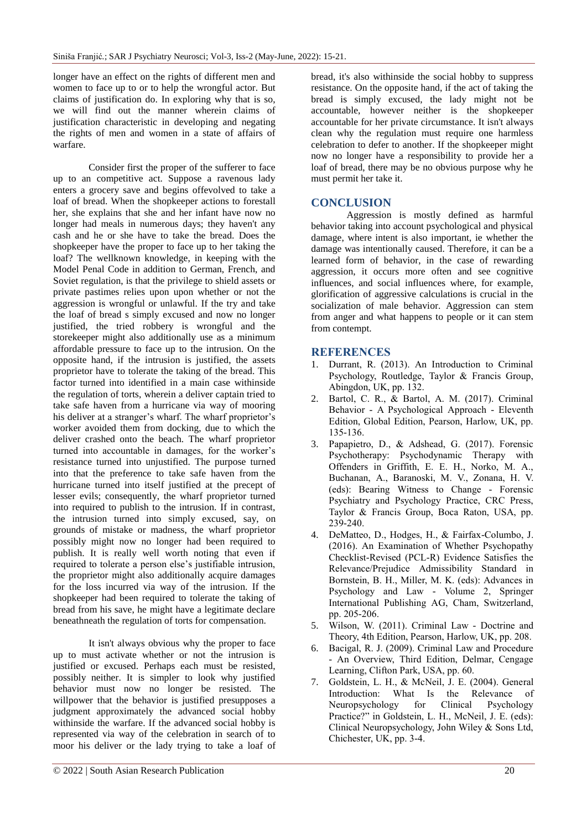longer have an effect on the rights of different men and women to face up to or to help the wrongful actor. But claims of justification do. In exploring why that is so, we will find out the manner wherein claims of justification characteristic in developing and negating the rights of men and women in a state of affairs of warfare.

Consider first the proper of the sufferer to face up to an competitive act. Suppose a ravenous lady enters a grocery save and begins offevolved to take a loaf of bread. When the shopkeeper actions to forestall her, she explains that she and her infant have now no longer had meals in numerous days; they haven't any cash and he or she have to take the bread. Does the shopkeeper have the proper to face up to her taking the loaf? The wellknown knowledge, in keeping with the Model Penal Code in addition to German, French, and Soviet regulation, is that the privilege to shield assets or private pastimes relies upon upon whether or not the aggression is wrongful or unlawful. If the try and take the loaf of bread s simply excused and now no longer justified, the tried robbery is wrongful and the storekeeper might also additionally use as a minimum affordable pressure to face up to the intrusion. On the opposite hand, if the intrusion is justified, the assets proprietor have to tolerate the taking of the bread. This factor turned into identified in a main case withinside the regulation of torts, wherein a deliver captain tried to take safe haven from a hurricane via way of mooring his deliver at a stranger's wharf. The wharf proprietor's worker avoided them from docking, due to which the deliver crashed onto the beach. The wharf proprietor turned into accountable in damages, for the worker's resistance turned into unjustified. The purpose turned into that the preference to take safe haven from the hurricane turned into itself justified at the precept of lesser evils; consequently, the wharf proprietor turned into required to publish to the intrusion. If in contrast, the intrusion turned into simply excused, say, on grounds of mistake or madness, the wharf proprietor possibly might now no longer had been required to publish. It is really well worth noting that even if required to tolerate a person else's justifiable intrusion, the proprietor might also additionally acquire damages for the loss incurred via way of the intrusion. If the shopkeeper had been required to tolerate the taking of bread from his save, he might have a legitimate declare beneathneath the regulation of torts for compensation.

It isn't always obvious why the proper to face up to must activate whether or not the intrusion is justified or excused. Perhaps each must be resisted, possibly neither. It is simpler to look why justified behavior must now no longer be resisted. The willpower that the behavior is justified presupposes a judgment approximately the advanced social hobby withinside the warfare. If the advanced social hobby is represented via way of the celebration in search of to moor his deliver or the lady trying to take a loaf of bread, it's also withinside the social hobby to suppress resistance. On the opposite hand, if the act of taking the bread is simply excused, the lady might not be accountable, however neither is the shopkeeper accountable for her private circumstance. It isn't always clean why the regulation must require one harmless celebration to defer to another. If the shopkeeper might now no longer have a responsibility to provide her a loaf of bread, there may be no obvious purpose why he must permit her take it.

## **CONCLUSION**

Aggression is mostly defined as harmful behavior taking into account psychological and physical damage, where intent is also important, ie whether the damage was intentionally caused. Therefore, it can be a learned form of behavior, in the case of rewarding aggression, it occurs more often and see cognitive influences, and social influences where, for example, glorification of aggressive calculations is crucial in the socialization of male behavior. Aggression can stem from anger and what happens to people or it can stem from contempt.

## **REFERENCES**

- 1. Durrant, R. (2013). An Introduction to Criminal Psychology, Routledge, Taylor & Francis Group, Abingdon, UK, pp. 132.
- 2. Bartol, C. R., & Bartol, A. M. (2017). Criminal Behavior - A Psychological Approach - Eleventh Edition, Global Edition, Pearson, Harlow, UK, pp. 135-136.
- 3. Papapietro, D., & Adshead, G. (2017). Forensic Psychotherapy: Psychodynamic Therapy with Offenders in Griffith, E. E. H., Norko, M. A., Buchanan, A., Baranoski, M. V., Zonana, H. V. (eds): Bearing Witness to Change - Forensic Psychiatry and Psychology Practice, CRC Press, Taylor & Francis Group, Boca Raton, USA, pp. 239-240.
- 4. DeMatteo, D., Hodges, H., & Fairfax-Columbo, J. (2016). An Examination of Whether Psychopathy Checklist-Revised (PCL-R) Evidence Satisfies the Relevance/Prejudice Admissibility Standard in Bornstein, B. H., Miller, M. K. (eds): Advances in Psychology and Law - Volume 2, Springer International Publishing AG, Cham, Switzerland, pp. 205-206.
- 5. Wilson, W. (2011). Criminal Law Doctrine and Theory, 4th Edition, Pearson, Harlow, UK, pp. 208.
- 6. Bacigal, R. J. (2009). Criminal Law and Procedure - An Overview, Third Edition, Delmar, Cengage Learning, Clifton Park, USA, pp. 60.
- 7. Goldstein, L. H., & McNeil, J. E. (2004). General Introduction: What Is the Relevance of Neuropsychology for Clinical Psychology Practice?" in Goldstein, L. H., McNeil, J. E. (eds): Clinical Neuropsychology, John Wiley & Sons Ltd, Chichester, UK, pp. 3-4.